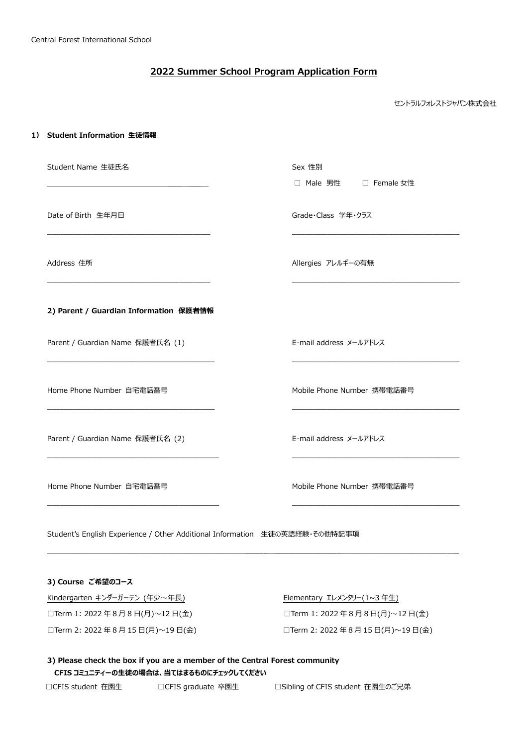# **2022 Summer School Program Application Form**

セントラルフォレストジャパン株式会社

#### **1) Student Information 生徒情報**

| Student Name 生徒氏名                      | Sex 性別                     |
|----------------------------------------|----------------------------|
|                                        | □ Male 男性 □ Female 女性      |
|                                        |                            |
| Date of Birth 生年月日                     | Grade·Class 学年·クラス         |
|                                        |                            |
| Address 住所                             | Allergies アレルギーの有無         |
|                                        |                            |
|                                        |                            |
| 2) Parent / Guardian Information 保護者情報 |                            |
| Parent / Guardian Name 保護者氏名 (1)       | E-mail address メールアドレス     |
|                                        |                            |
|                                        |                            |
| Home Phone Number 自宅電話番号               | Mobile Phone Number 携帯電話番号 |
|                                        |                            |
| Parent / Guardian Name 保護者氏名 (2)       | E-mail address メールアドレス     |
|                                        |                            |
|                                        |                            |
| Home Phone Number 自宅電話番号               | Mobile Phone Number 携帯電話番号 |
|                                        |                            |
|                                        |                            |

 $\mathcal{L}_\text{max}$ 

Student's English Experience / Other Additional Information 生徒の英語経験・その他特記事項

## **3) Course ご希望のコース**

Kindergarten キンダーガーテン (年少~年長) <br>
Elementary エレメンタリー(1~3年生) □Term 1: 2022 年 8 月 8 日(月)~12 日(金) □Term 1: 2022 年 8 月 8 日(月)~12 日(金)

□Term 2: 2022 年 8 月 15 日(月)~19 日(金) □Term 2: 2022 年 8 月 15 日(月)~19 日(金)

**3) Please check the box if you are a member of the Central Forest community CFIS コミュニティーの生徒の場合は、当てはまるものにチェックしてください**

□CFIS student 在園生 □□CFIS graduate 卒園生 □Sibling of CFIS student 在園生のご兄弟